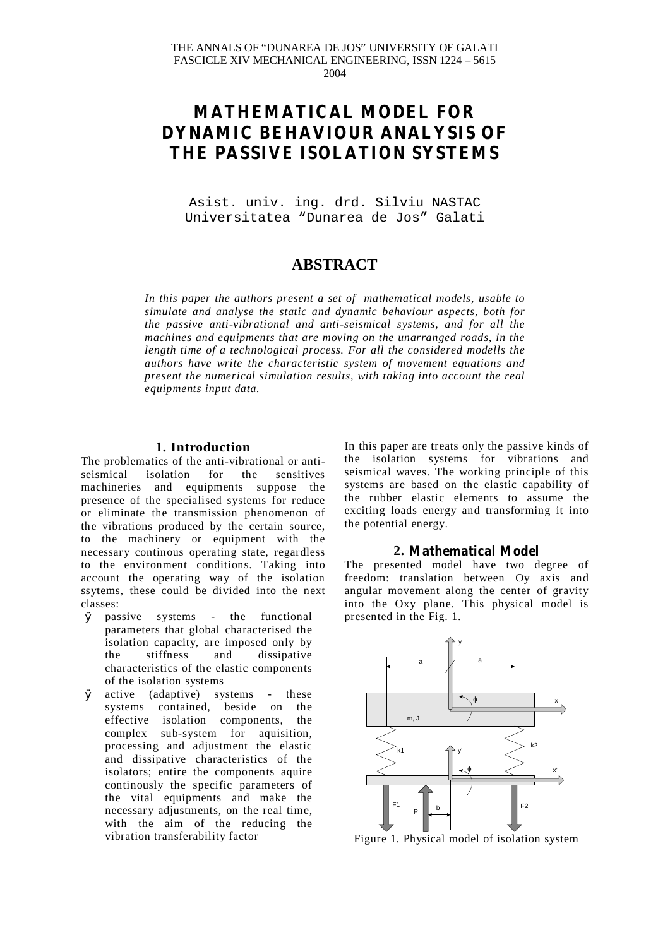# **MATHEMATICAL MODEL FOR DYNAMIC BEHAVIOUR ANALYSIS OF THE PASSIVE ISOLATION SYSTEMS**

Asist. univ. ing. drd. Silviu NASTAC Universitatea "Dunarea de Jos" Galati

# **ABSTRACT**

*In this paper the authors present a set of mathematical models, usable to simulate and analyse the static and dynamic behaviour aspects, both for the passive anti-vibrational and anti-seismical systems, and for all the machines and equipments that are moving on the unarranged roads, in the length time of a technological process. For all the considered modells the authors have write the characteristic system of movement equations and present the numerical simulation results, with taking into account the real equipments input data.*

#### **1. Introduction**

The problematics of the anti-vibrational or anti-<br>seismical isolation for the sensitives seismical isolation for the sensitives machineries and equipments suppose the presence of the specialised systems for reduce or eliminate the transmission phenomenon of the vibrations produced by the certain source, to the machinery or equipment with the necessary continous operating state, regardless to the environment conditions. Taking into account the operating way of the isolation ssytems, these could be divided into the next classes:

- Ø passive systems the functional parameters that global characterised the isolation capacity, are imposed only by the stiffness and dissipative characteristics of the elastic components of the isolation systems
- Ø active (adaptive) systems these systems contained, beside on the effective isolation components, the complex sub-system for aquisition, processing and adjustment the elastic and dissipative characteristics of the isolators; entire the components aquire continously the specific parameters of the vital equipments and make the necessary adjustments, on the real time, with the aim of the reducing the vibration transferability factor

In this paper are treats only the passive kinds of the isolation systems for vibrations and seismical waves. The working principle of this systems are based on the elastic capability of the rubber elastic elements to assume the exciting loads energy and transforming it into the potential energy.

## **2. Mathematical Model**

The presented model have two degree of freedom: translation between Oy axis and angular movement along the center of gravity into the Oxy plane. This physical model is presented in the Fig. 1.



Figure 1. Physical model of isolation system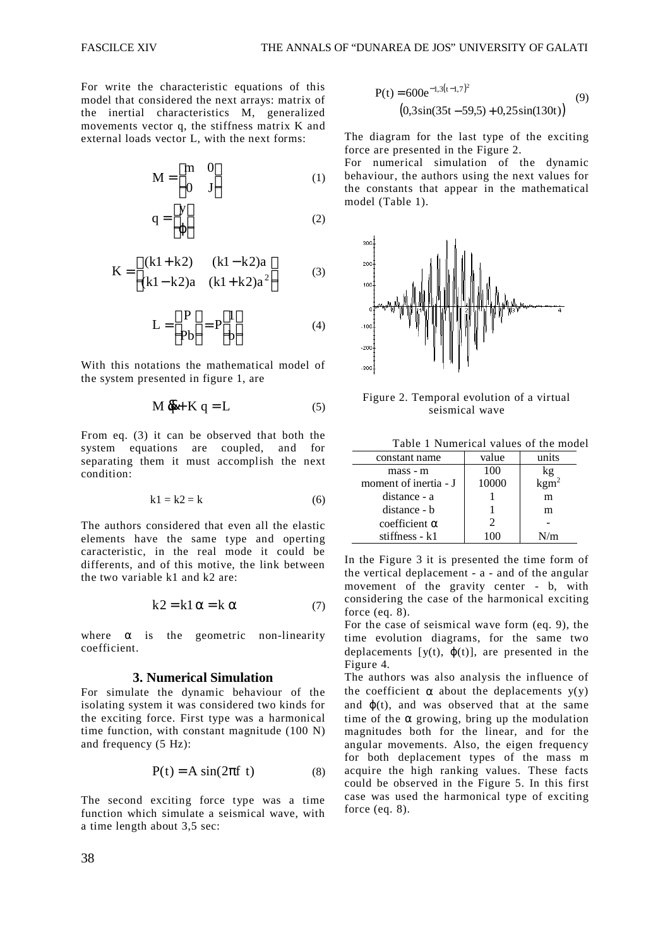For write the characteristic equations of this model that considered the next arrays: matrix of the inertial characteristics M, generalized movements vector q, the stiffness matrix K and external loads vector L, with the next forms:

$$
\mathbf{M} = \begin{bmatrix} \mathbf{m} & 0 \\ 0 & \mathbf{J} \end{bmatrix} \tag{1}
$$

$$
q = \begin{bmatrix} y \\ \varphi \end{bmatrix} \tag{2}
$$

$$
K = \begin{bmatrix} (k1 + k2) & (k1 - k2)a \\ (k1 - k2)a & (k1 + k2)a^2 \end{bmatrix}
$$
 (3)

$$
L = \begin{bmatrix} P \\ Pb \end{bmatrix} = P \begin{bmatrix} 1 \\ b \end{bmatrix}
$$
 (4)

With this notations the mathematical model of the system presented in figure 1, are

$$
M \, \vec{q} + K \, q = L \tag{5}
$$

From eq. (3) it can be observed that both the system equations are coupled, and for separating them it must accomplish the next condition:

$$
k1 = k2 = k \tag{6}
$$

The authors considered that even all the elastic elements have the same type and operting caracteristic, in the real mode it could be differents, and of this motive, the link between the two variable k1 and k2 are:

$$
k2 = k1 \alpha = k \alpha \tag{7}
$$

where  $\alpha$  is the geometric non-linearity coefficient.

#### **3. Numerical Simulation**

For simulate the dynamic behaviour of the isolating system it was considered two kinds for the exciting force. First type was a harmonical time function, with constant magnitude (100 N) and frequency (5 Hz):

$$
P(t) = A \sin(2\pi f t)
$$
 (8)

The second exciting force type was a time function which simulate a seismical wave, with a time length about 3,5 sec:

$$
P(t) = 600e^{-1,3(t-1,7)^{2}}
$$
  
(0,3sin(35t – 59,5) + 0,25sin(130t)) (9)

The diagram for the last type of the exciting force are presented in the Figure 2.

For numerical simulation of the dynamic behaviour, the authors using the next values for the constants that appear in the mathematical model (Table 1).



Figure 2. Temporal evolution of a virtual seismical wave

Table 1 Numerical values of the model

| constant name         | value | units |
|-----------------------|-------|-------|
| mass - m              | 100   | kg    |
| moment of inertia - J | 10000 |       |
| distance - a          |       | m     |
| distance - b          |       | m     |
| $coefficient \alpha$  | 2     |       |
| stiffness - k1        |       | J/m   |

In the Figure 3 it is presented the time form of the vertical deplacement - a - and of the angular movement of the gravity center - b, with considering the case of the harmonical exciting force (eq. 8).

For the case of seismical wave form (eq. 9), the time evolution diagrams, for the same two deplacements  $[y(t), \varphi(t)]$ , are presented in the Figure 4.

The authors was also analysis the influence of the coefficient  $\alpha$  about the deplacements  $y(y)$ and  $\varphi(t)$ , and was observed that at the same time of the  $\alpha$  growing, bring up the modulation magnitudes both for the linear, and for the angular movements. Also, the eigen frequency for both deplacement types of the mass m acquire the high ranking values. These facts could be observed in the Figure 5. In this first case was used the harmonical type of exciting force (eq. 8).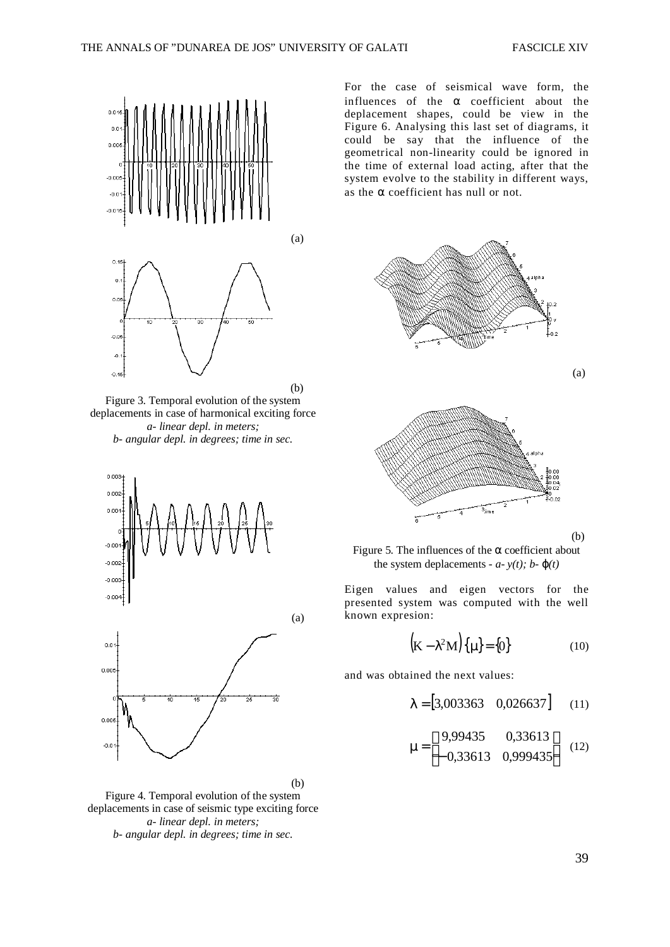

Figure 3. Temporal evolution of the system deplacements in case of harmonical exciting force *a- linear depl. in meters; b- angular depl. in degrees; time in sec.*



Figure 4. Temporal evolution of the system deplacements in case of seismic type exciting force *a- linear depl. in meters; b- angular depl. in degrees; time in sec.*

For the case of seismical wave form, the influences of the  $\alpha$  coefficient about the deplacement shapes, could be view in the Figure 6. Analysing this last set of diagrams, it could be say that the influence of the geometrical non-linearity could be ignored in the time of external load acting, after that the system evolve to the stability in different ways, as the  $\alpha$  coefficient has null or not.



Figure 5. The influences of the  $\alpha$  coefficient about the system deplacements -  $a - y(t)$ ;  $b - \phi(t)$ 

Eigen values and eigen vectors for the presented system was computed with the well known expresion:

$$
\left(\mathbf{K} - \lambda^2 \mathbf{M}\right) \left\{\mu\right\} = \left\{0\right\} \tag{10}
$$

and was obtained the next values:

$$
\lambda = [3,003363 \quad 0,026637] \quad (11)
$$

$$
\mu = \begin{bmatrix} 9,99435 & 0,33613 \\ -0,33613 & 0,999435 \end{bmatrix}
$$
 (12)